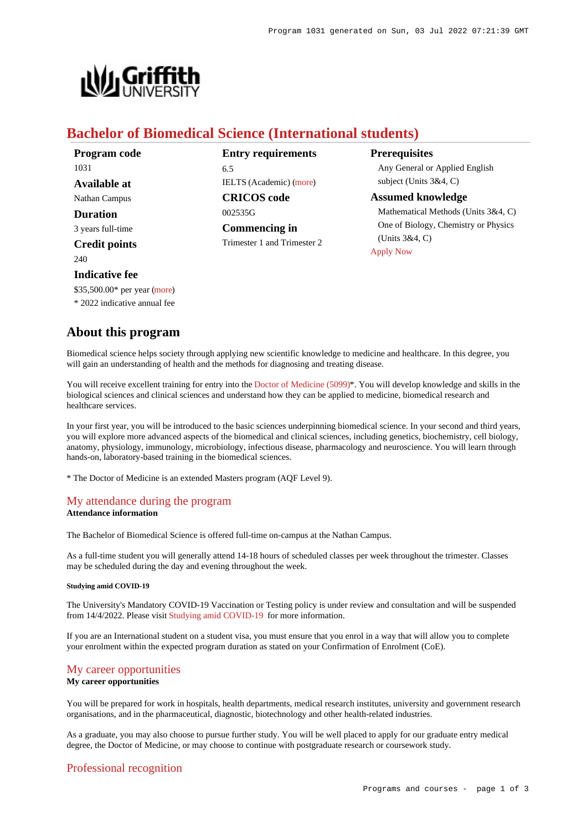

# **Bachelor of Biomedical Science (International students)**

| Program code         | <b>Entry requirements</b>      | <b>Prerequisites</b>                                                          |
|----------------------|--------------------------------|-------------------------------------------------------------------------------|
| 1031                 | 6.5                            | Any General or Applied English                                                |
| Available at         | <b>IELTS</b> (Academic) (more) | subject (Units $3&4, C$ )                                                     |
| Nathan Campus        | <b>CRICOS</b> code             | <b>Assumed knowledge</b>                                                      |
| <b>Duration</b>      | 002535G                        | Mathematical Methods (Units 3&4, C)                                           |
| 3 years full-time    | <b>Commencing in</b>           | One of Biology, Chemistry or Physics<br>(Units $3&4, C$ )<br><b>Apply Now</b> |
| <b>Credit points</b> | Trimester 1 and Trimester 2    |                                                                               |
| 240                  |                                |                                                                               |

# **Indicative fee**

\$35,500.00\* per year [\(more](https://www148.griffith.edu.au/programs-courses/Program/1031/Overview/International#fees))

\* 2022 indicative annual fee

# **About this program**

Biomedical science helps society through applying new scientific knowledge to medicine and healthcare. In this degree, you will gain an understanding of health and the methods for diagnosing and treating disease.

You will receive excellent training for entry into the [Doctor of Medicine \(5099\)](https://www148.griffith.edu.au/Search/Results?SearchText=5099)\*. You will develop knowledge and skills in the biological sciences and clinical sciences and understand how they can be applied to medicine, biomedical research and healthcare services.

In your first year, you will be introduced to the basic sciences underpinning biomedical science. In your second and third years, you will explore more advanced aspects of the biomedical and clinical sciences, including genetics, biochemistry, cell biology, anatomy, physiology, immunology, microbiology, infectious disease, pharmacology and neuroscience. You will learn through hands-on, laboratory-based training in the biomedical sciences.

\* The Doctor of Medicine is an extended Masters program (AQF Level 9).

## [My attendance during the program](https://www148.griffith.edu.au/programs-courses/Program/1031/Overview/International#attendance) **Attendance information**

The Bachelor of Biomedical Science is offered full-time on-campus at the Nathan Campus.

As a full-time student you will generally attend 14-18 hours of scheduled classes per week throughout the trimester. Classes may be scheduled during the day and evening throughout the week.

### **Studying amid COVID-19**

The University's Mandatory COVID-19 Vaccination or Testing policy is under review and consultation and will be suspended from 14/4/2022. Please visit [Studying amid COVID-19](https://www.griffith.edu.au/coronavirus/studying-amid-covid-19) for more information.

If you are an International student on a student visa, you must ensure that you enrol in a way that will allow you to complete your enrolment within the expected program duration as stated on your Confirmation of Enrolment (CoE).

# [My career opportunities](https://www148.griffith.edu.au/programs-courses/Program/1031/Overview/International#opportunities)

# **My career opportunities**

You will be prepared for work in hospitals, health departments, medical research institutes, university and government research organisations, and in the pharmaceutical, diagnostic, biotechnology and other health-related industries.

As a graduate, you may also choose to pursue further study. You will be well placed to apply for our graduate entry medical degree, the Doctor of Medicine, or may choose to continue with postgraduate research or coursework study.

# [Professional recognition](https://www148.griffith.edu.au/programs-courses/Program/1031/Overview/International#recognition)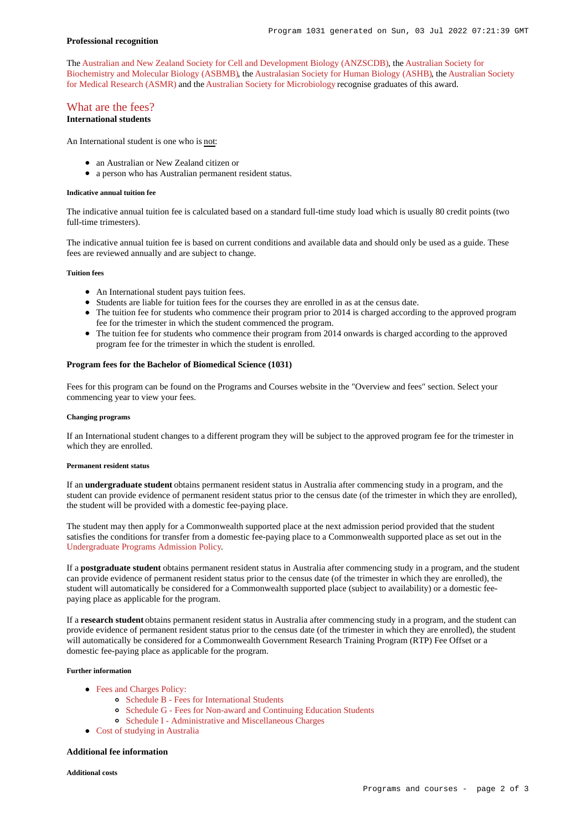### **Professional recognition**

The [Australian and New Zealand Society for Cell and Development Biology \(ANZSCDB\)](http://www.anzscdb.org/), the [Australian Society for](https://www.asbmb.org.au/) [Biochemistry and Molecular Biology \(ASBMB\)](https://www.asbmb.org.au/), the [Australasian Society for Human Biology \(ASHB\)](http://school.anhb.uwa.edu.au/ashb/), the [Australian Society](http://www.asmr.org.au/) [for Medical Research \(ASMR\)](http://www.asmr.org.au/) and the [Australian Society for Microbiology](http://www.theasm.org.au/) recognise graduates of this award.

# [What are the fees?](https://www148.griffith.edu.au/programs-courses/Program/1031/Overview/International#fees)

**International students**

An International student is one who is not:

- an Australian or New Zealand citizen or
- a person who has Australian permanent resident status.

### **Indicative annual tuition fee**

The indicative annual tuition fee is calculated based on a standard full-time study load which is usually 80 credit points (two full-time trimesters).

The indicative annual tuition fee is based on current conditions and available data and should only be used as a guide. These fees are reviewed annually and are subject to change.

## **Tuition fees**

- An International student pays tuition fees.
- Students are liable for tuition fees for the courses they are enrolled in as at the census date.
- The tuition fee for students who commence their program prior to 2014 is charged according to the approved program fee for the trimester in which the student commenced the program.
- The tuition fee for students who commence their program from 2014 onwards is charged according to the approved program fee for the trimester in which the student is enrolled.

### **Program fees for the Bachelor of Biomedical Science (1031)**

Fees for this program can be found on the Programs and Courses website in the "Overview and fees" section. Select your commencing year to view your fees.

### **Changing programs**

If an International student changes to a different program they will be subject to the approved program fee for the trimester in which they are enrolled.

### **Permanent resident status**

If an **undergraduate student** obtains permanent resident status in Australia after commencing study in a program, and the student can provide evidence of permanent resident status prior to the census date (of the trimester in which they are enrolled), the student will be provided with a domestic fee-paying place.

The student may then apply for a Commonwealth supported place at the next admission period provided that the student satisfies the conditions for transfer from a domestic fee-paying place to a Commonwealth supported place as set out in the [Undergraduate Programs Admission Policy](http://policies.griffith.edu.au/pdf/Undergraduate Programs Admission Policy.pdf).

If a **postgraduate student** obtains permanent resident status in Australia after commencing study in a program, and the student can provide evidence of permanent resident status prior to the census date (of the trimester in which they are enrolled), the student will automatically be considered for a Commonwealth supported place (subject to availability) or a domestic feepaying place as applicable for the program.

If a **research student** obtains permanent resident status in Australia after commencing study in a program, and the student can provide evidence of permanent resident status prior to the census date (of the trimester in which they are enrolled), the student will automatically be considered for a Commonwealth Government Research Training Program (RTP) Fee Offset or a domestic fee-paying place as applicable for the program.

### **Further information**

- [Fees and Charges Policy:](https://policies.griffith.edu.au/pdf/Fees and Charges Policy.pdf)
	- [Schedule B Fees for International Students](https://policies.griffith.edu.au/pdf/Fees and Charges Policy Schedule B.pdf)
	- [Schedule G Fees for Non-award and Continuing Education Students](https://policies.griffith.edu.au/pdf/Fees and Charges Policy Schedule G.pdf)
	- [Schedule I Administrative and Miscellaneous Charges](https://policies.griffith.edu.au/pdf/Fees and Charges Policy Schedule I.pdf)
- [Cost of studying in Australia](https://www.griffith.edu.au/life-at-griffith/australia/cost-of-studying)

# **Additional fee information**

**Additional costs**